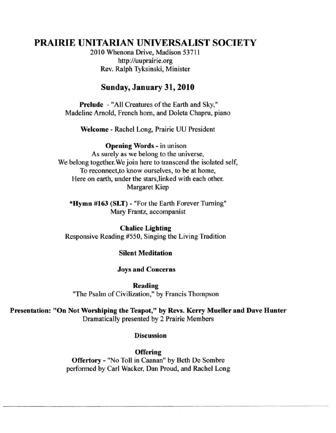# **PRAIRIE** UNITARIAN UNIVERSALIST SOCIETY

2010 Whenona Drive, Madison 53711 http://uuprairie.org Rev. Ralph Tyksinski, Minister

## Sunday, January 31, 2010

Prelude - "All Creatures of the Earth and Sky," Madeline Arnold, French horn, and Doleta Chapru, piano

Welcome - Rachel Long, Prairie UU President

Opening Words - in unison

**As surely as we belong to the universe,**  We belong together. We join here to transcend the isolated self, **To reconnect,to know ourselves, to be at home,**  Here on earth, under the stars,linked with each other. Margaret Kiep

'Hymn #163 (SLT) - "For the Earth Forever Turning" **Mary Frantz, accompanist** 

Chalice Lighting Responsive Reading #550, Singing the Living Tradition

#### Silent Meditation

**Joys and Concerns** 

Reading **"The Psalm** of Civilization," **by Francis Thompson** 

Presentation: "On Not Worshiping the Teapot," by Revs. Kerry Mueller and Dave Hunter Dramatically presented by 2 Prairie Members

#### **Discussion**

**Offering** Offertory - "No Toll in Caanan" by Beth De Sombre performed by Carl Wacker, Dan Proud, and Rachel Long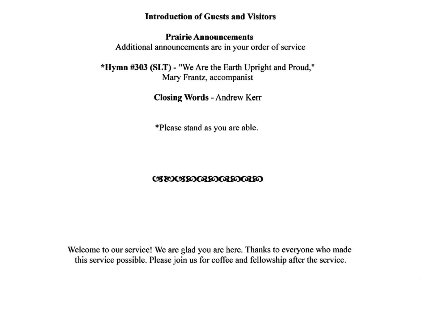# Introduction of Guests and Visitors

# Prairie Announcements

Additional announcements are in your order of service

\*Hymn #303 (SLT) - "We Are the Earth Upright and Proud," Mary Frantz, accompanist

Closing Words - Andrew Kerr

\*Please stand as you are able.

# **CIEOCISO GEOGRAPO E**

Welcome to our service! We are glad you are here. Thanks to everyone who made this service possible. Please join us for coffee and fellowship after the service.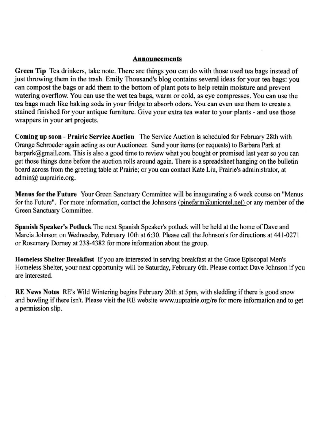#### **Announcements**

Green Tip Tea drinkers, take note. There are things you can do with those used tea bags instead of just throwing them in the trash. Emily Thousand's blog contains several ideas for your tea bags: you can compost the bags or add them to the bottom of plant pots to help retain moisture and prevent **watering overflow. You can use the wet tea bags, warm or cold, as eye compresses. You can use the tea bags much like baking soda in your fridge to absorb odors. You can even use them to create a stained finished for your antique furniture. Give your extra tea water to your plants - and use those**  wrappers in your art projects.

Coming up soon - Prairie Service Auction The Service Auction is scheduled for February 28th with Orange Schroeder again acting as our Auctioneer. Send your items (or requests) to Barbara Park at barpark@gmail.com. This is also a good time to review what you bought or promised last year so you can get those things done before the auction rolls around again. There is a spreadsheet hanging on the bulletin **board across from the greeting table at Prairie; or you can contact Kate Liu, Prairie's administrator. at**  admin@ uuprairie.org.

**Menus for the Future Your Green Sanctuary Committee will be inaugurating a 6 week course on "Menus**  for the Future". For more information, contact the Johnsons (pinefarm@uniontel.net) or any member of the **Green Sanctuary Committee.** 

Spanish Speaker's Potluck The next Spanish Speaker's potluck will be held at the home of Dave and Marcia Johnson on Wednesday, February 10th at 6:30. Please call the Johnson's for directions at 441-0271 or Rosemary Dorney at 238-4382 for more information about the group.

Homeless Shelter Breakfast If you are interested in serving breakfast at the Grace Episcopal Men's Homeless Shelter, your next opportunity will be Saturday, February 6th. Please contact Dave Johnson if you **are interested.** 

RE News Notes RE's Wild Wintering begins February 20th at 5pm, with sledding if there is good snow **and bowling** if there **isn't. Please visit the RE website www.uuprairie.org/re for more infonnation and to get**   $a$  permission slip.